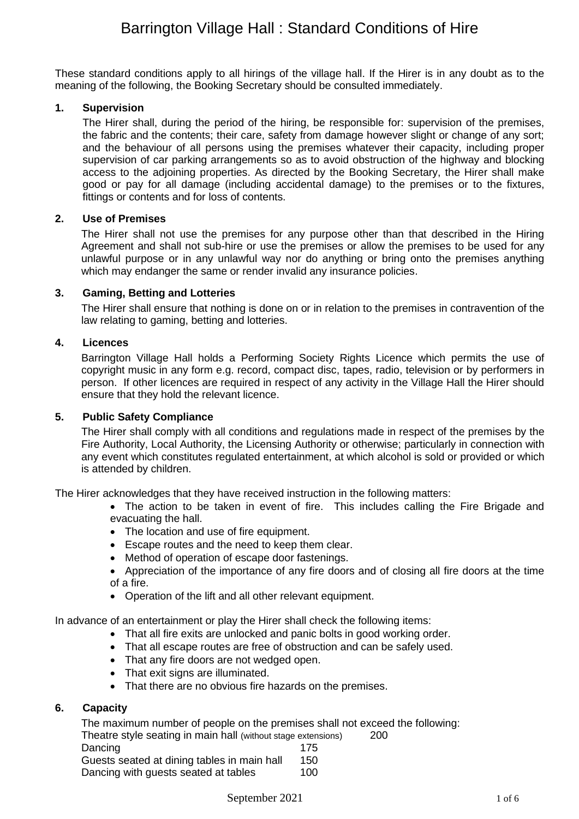# Barrington Village Hall : Standard Conditions of Hire

These standard conditions apply to all hirings of the village hall. If the Hirer is in any doubt as to the meaning of the following, the Booking Secretary should be consulted immediately.

# **1. Supervision**

The Hirer shall, during the period of the hiring, be responsible for: supervision of the premises, the fabric and the contents; their care, safety from damage however slight or change of any sort; and the behaviour of all persons using the premises whatever their capacity, including proper supervision of car parking arrangements so as to avoid obstruction of the highway and blocking access to the adjoining properties. As directed by the Booking Secretary, the Hirer shall make good or pay for all damage (including accidental damage) to the premises or to the fixtures, fittings or contents and for loss of contents.

# **2. Use of Premises**

The Hirer shall not use the premises for any purpose other than that described in the Hiring Agreement and shall not sub-hire or use the premises or allow the premises to be used for any unlawful purpose or in any unlawful way nor do anything or bring onto the premises anything which may endanger the same or render invalid any insurance policies.

# **3. Gaming, Betting and Lotteries**

The Hirer shall ensure that nothing is done on or in relation to the premises in contravention of the law relating to gaming, betting and lotteries.

# **4. Licences**

Barrington Village Hall holds a Performing Society Rights Licence which permits the use of copyright music in any form e.g. record, compact disc, tapes, radio, television or by performers in person. If other licences are required in respect of any activity in the Village Hall the Hirer should ensure that they hold the relevant licence.

# **5. Public Safety Compliance**

The Hirer shall comply with all conditions and regulations made in respect of the premises by the Fire Authority, Local Authority, the Licensing Authority or otherwise; particularly in connection with any event which constitutes regulated entertainment, at which alcohol is sold or provided or which is attended by children.

The Hirer acknowledges that they have received instruction in the following matters:

- The action to be taken in event of fire. This includes calling the Fire Brigade and evacuating the hall.
- The location and use of fire equipment.
- Escape routes and the need to keep them clear.
- Method of operation of escape door fastenings.
- Appreciation of the importance of any fire doors and of closing all fire doors at the time of a fire.
- Operation of the lift and all other relevant equipment.

In advance of an entertainment or play the Hirer shall check the following items:

- That all fire exits are unlocked and panic bolts in good working order.
- That all escape routes are free of obstruction and can be safely used.
- That any fire doors are not wedged open.
- That exit signs are illuminated.
- That there are no obvious fire hazards on the premises.

# **6. Capacity**

The maximum number of people on the premises shall not exceed the following: Theatre style seating in main hall (without stage extensions) 200 Dancing 175 Guests seated at dining tables in main hall 150 Dancing with quests seated at tables 100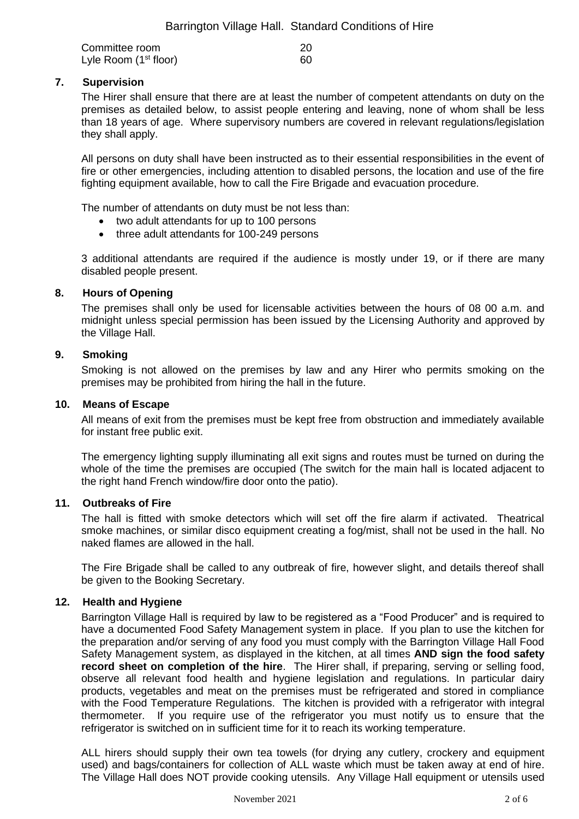| Committee room          | <b>20</b> |
|-------------------------|-----------|
| Lyle Room $(1st floor)$ | -60       |

# **7. Supervision**

The Hirer shall ensure that there are at least the number of competent attendants on duty on the premises as detailed below, to assist people entering and leaving, none of whom shall be less than 18 years of age. Where supervisory numbers are covered in relevant regulations/legislation they shall apply.

All persons on duty shall have been instructed as to their essential responsibilities in the event of fire or other emergencies, including attention to disabled persons, the location and use of the fire fighting equipment available, how to call the Fire Brigade and evacuation procedure.

The number of attendants on duty must be not less than:

- two adult attendants for up to 100 persons
- three adult attendants for 100-249 persons

3 additional attendants are required if the audience is mostly under 19, or if there are many disabled people present.

# **8. Hours of Opening**

The premises shall only be used for licensable activities between the hours of 08 00 a.m. and midnight unless special permission has been issued by the Licensing Authority and approved by the Village Hall.

# **9. Smoking**

Smoking is not allowed on the premises by law and any Hirer who permits smoking on the premises may be prohibited from hiring the hall in the future.

#### **10. Means of Escape**

All means of exit from the premises must be kept free from obstruction and immediately available for instant free public exit.

The emergency lighting supply illuminating all exit signs and routes must be turned on during the whole of the time the premises are occupied (The switch for the main hall is located adjacent to the right hand French window/fire door onto the patio).

#### **11. Outbreaks of Fire**

The hall is fitted with smoke detectors which will set off the fire alarm if activated. Theatrical smoke machines, or similar disco equipment creating a fog/mist, shall not be used in the hall. No naked flames are allowed in the hall.

The Fire Brigade shall be called to any outbreak of fire, however slight, and details thereof shall be given to the Booking Secretary.

#### **12. Health and Hygiene**

Barrington Village Hall is required by law to be registered as a "Food Producer" and is required to have a documented Food Safety Management system in place. If you plan to use the kitchen for the preparation and/or serving of any food you must comply with the Barrington Village Hall Food Safety Management system, as displayed in the kitchen, at all times **AND sign the food safety record sheet on completion of the hire**. The Hirer shall, if preparing, serving or selling food, observe all relevant food health and hygiene legislation and regulations. In particular dairy products, vegetables and meat on the premises must be refrigerated and stored in compliance with the Food Temperature Regulations. The kitchen is provided with a refrigerator with integral thermometer. If you require use of the refrigerator you must notify us to ensure that the refrigerator is switched on in sufficient time for it to reach its working temperature.

ALL hirers should supply their own tea towels (for drying any cutlery, crockery and equipment used) and bags/containers for collection of ALL waste which must be taken away at end of hire. The Village Hall does NOT provide cooking utensils. Any Village Hall equipment or utensils used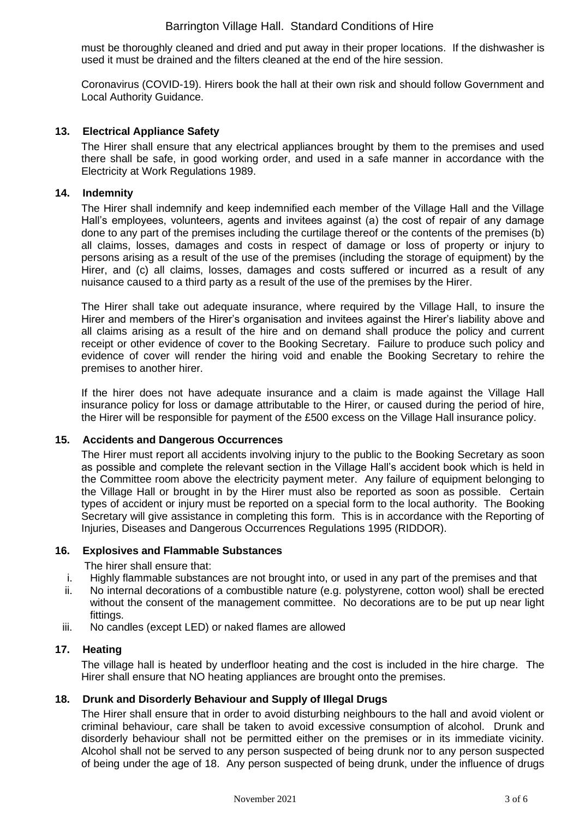must be thoroughly cleaned and dried and put away in their proper locations. If the dishwasher is used it must be drained and the filters cleaned at the end of the hire session.

Coronavirus (COVID-19). Hirers book the hall at their own risk and should follow Government and Local Authority Guidance.

# **13. Electrical Appliance Safety**

The Hirer shall ensure that any electrical appliances brought by them to the premises and used there shall be safe, in good working order, and used in a safe manner in accordance with the Electricity at Work Regulations 1989.

# **14. Indemnity**

The Hirer shall indemnify and keep indemnified each member of the Village Hall and the Village Hall's employees, volunteers, agents and invitees against (a) the cost of repair of any damage done to any part of the premises including the curtilage thereof or the contents of the premises (b) all claims, losses, damages and costs in respect of damage or loss of property or injury to persons arising as a result of the use of the premises (including the storage of equipment) by the Hirer, and (c) all claims, losses, damages and costs suffered or incurred as a result of any nuisance caused to a third party as a result of the use of the premises by the Hirer.

The Hirer shall take out adequate insurance, where required by the Village Hall, to insure the Hirer and members of the Hirer's organisation and invitees against the Hirer's liability above and all claims arising as a result of the hire and on demand shall produce the policy and current receipt or other evidence of cover to the Booking Secretary. Failure to produce such policy and evidence of cover will render the hiring void and enable the Booking Secretary to rehire the premises to another hirer.

If the hirer does not have adequate insurance and a claim is made against the Village Hall insurance policy for loss or damage attributable to the Hirer, or caused during the period of hire, the Hirer will be responsible for payment of the £500 excess on the Village Hall insurance policy.

#### **15. Accidents and Dangerous Occurrences**

The Hirer must report all accidents involving injury to the public to the Booking Secretary as soon as possible and complete the relevant section in the Village Hall's accident book which is held in the Committee room above the electricity payment meter. Any failure of equipment belonging to the Village Hall or brought in by the Hirer must also be reported as soon as possible. Certain types of accident or injury must be reported on a special form to the local authority. The Booking Secretary will give assistance in completing this form. This is in accordance with the Reporting of Injuries, Diseases and Dangerous Occurrences Regulations 1995 (RIDDOR).

# **16. Explosives and Flammable Substances**

The hirer shall ensure that:

- i. Highly flammable substances are not brought into, or used in any part of the premises and that
- ii. No internal decorations of a combustible nature (e.g. polystyrene, cotton wool) shall be erected without the consent of the management committee. No decorations are to be put up near light fittings.
- iii. No candles (except LED) or naked flames are allowed

#### **17. Heating**

The village hall is heated by underfloor heating and the cost is included in the hire charge. The Hirer shall ensure that NO heating appliances are brought onto the premises.

#### **18. Drunk and Disorderly Behaviour and Supply of Illegal Drugs**

The Hirer shall ensure that in order to avoid disturbing neighbours to the hall and avoid violent or criminal behaviour, care shall be taken to avoid excessive consumption of alcohol. Drunk and disorderly behaviour shall not be permitted either on the premises or in its immediate vicinity. Alcohol shall not be served to any person suspected of being drunk nor to any person suspected of being under the age of 18. Any person suspected of being drunk, under the influence of drugs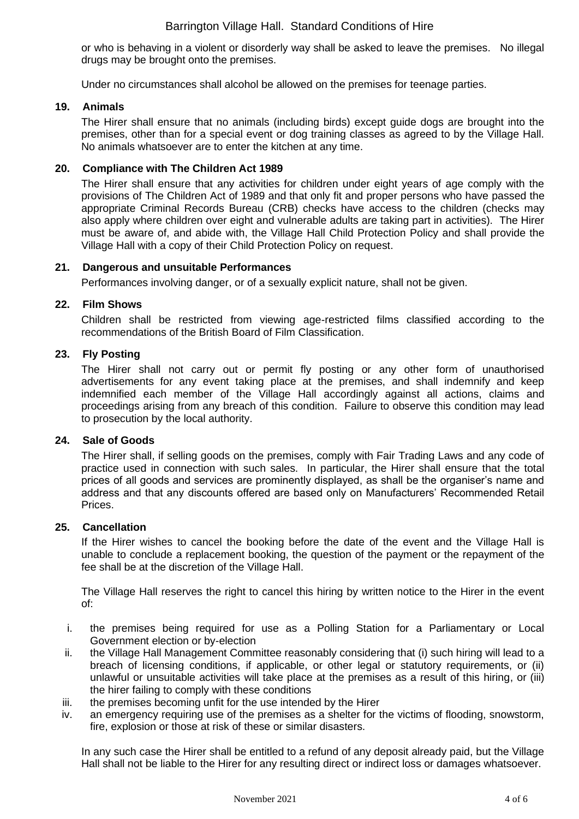or who is behaving in a violent or disorderly way shall be asked to leave the premises. No illegal drugs may be brought onto the premises.

Under no circumstances shall alcohol be allowed on the premises for teenage parties.

#### **19. Animals**

The Hirer shall ensure that no animals (including birds) except guide dogs are brought into the premises, other than for a special event or dog training classes as agreed to by the Village Hall. No animals whatsoever are to enter the kitchen at any time.

# **20. Compliance with The Children Act 1989**

The Hirer shall ensure that any activities for children under eight years of age comply with the provisions of The Children Act of 1989 and that only fit and proper persons who have passed the appropriate Criminal Records Bureau (CRB) checks have access to the children (checks may also apply where children over eight and vulnerable adults are taking part in activities). The Hirer must be aware of, and abide with, the Village Hall Child Protection Policy and shall provide the Village Hall with a copy of their Child Protection Policy on request.

# **21. Dangerous and unsuitable Performances**

Performances involving danger, or of a sexually explicit nature, shall not be given.

# **22. Film Shows**

Children shall be restricted from viewing age-restricted films classified according to the recommendations of the British Board of Film Classification.

# **23. Fly Posting**

The Hirer shall not carry out or permit fly posting or any other form of unauthorised advertisements for any event taking place at the premises, and shall indemnify and keep indemnified each member of the Village Hall accordingly against all actions, claims and proceedings arising from any breach of this condition. Failure to observe this condition may lead to prosecution by the local authority.

#### **24. Sale of Goods**

The Hirer shall, if selling goods on the premises, comply with Fair Trading Laws and any code of practice used in connection with such sales. In particular, the Hirer shall ensure that the total prices of all goods and services are prominently displayed, as shall be the organiser's name and address and that any discounts offered are based only on Manufacturers' Recommended Retail Prices.

#### **25. Cancellation**

If the Hirer wishes to cancel the booking before the date of the event and the Village Hall is unable to conclude a replacement booking, the question of the payment or the repayment of the fee shall be at the discretion of the Village Hall.

The Village Hall reserves the right to cancel this hiring by written notice to the Hirer in the event of:

- i. the premises being required for use as a Polling Station for a Parliamentary or Local Government election or by-election
- ii. the Village Hall Management Committee reasonably considering that (i) such hiring will lead to a breach of licensing conditions, if applicable, or other legal or statutory requirements, or (ii) unlawful or unsuitable activities will take place at the premises as a result of this hiring, or (iii) the hirer failing to comply with these conditions
- iii. the premises becoming unfit for the use intended by the Hirer
- iv. an emergency requiring use of the premises as a shelter for the victims of flooding, snowstorm, fire, explosion or those at risk of these or similar disasters.

In any such case the Hirer shall be entitled to a refund of any deposit already paid, but the Village Hall shall not be liable to the Hirer for any resulting direct or indirect loss or damages whatsoever.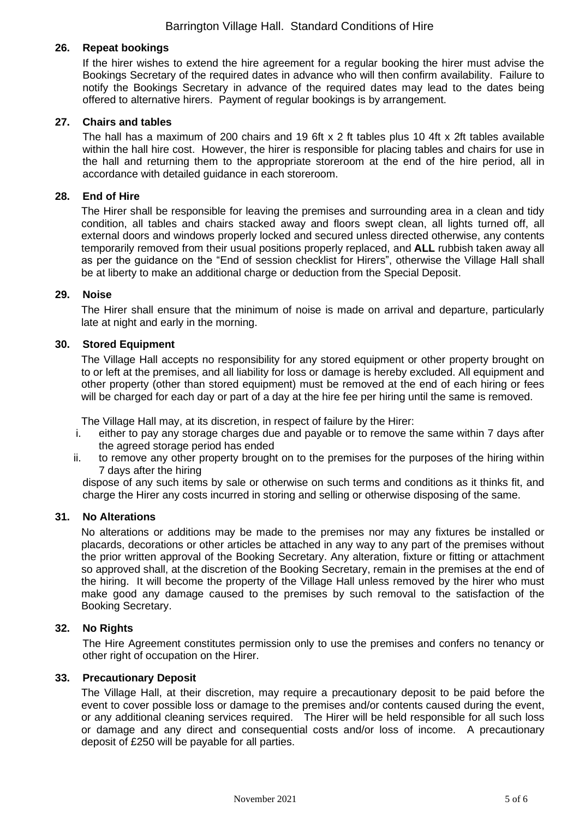# **26. Repeat bookings**

If the hirer wishes to extend the hire agreement for a regular booking the hirer must advise the Bookings Secretary of the required dates in advance who will then confirm availability. Failure to notify the Bookings Secretary in advance of the required dates may lead to the dates being offered to alternative hirers. Payment of regular bookings is by arrangement.

# **27. Chairs and tables**

The hall has a maximum of 200 chairs and 19 6ft x 2 ft tables plus 10 4ft x 2ft tables available within the hall hire cost. However, the hirer is responsible for placing tables and chairs for use in the hall and returning them to the appropriate storeroom at the end of the hire period, all in accordance with detailed guidance in each storeroom.

# **28. End of Hire**

The Hirer shall be responsible for leaving the premises and surrounding area in a clean and tidy condition, all tables and chairs stacked away and floors swept clean, all lights turned off, all external doors and windows properly locked and secured unless directed otherwise, any contents temporarily removed from their usual positions properly replaced, and **ALL** rubbish taken away all as per the guidance on the "End of session checklist for Hirers", otherwise the Village Hall shall be at liberty to make an additional charge or deduction from the Special Deposit.

# **29. Noise**

The Hirer shall ensure that the minimum of noise is made on arrival and departure, particularly late at night and early in the morning.

# **30. Stored Equipment**

The Village Hall accepts no responsibility for any stored equipment or other property brought on to or left at the premises, and all liability for loss or damage is hereby excluded. All equipment and other property (other than stored equipment) must be removed at the end of each hiring or fees will be charged for each day or part of a day at the hire fee per hiring until the same is removed.

The Village Hall may, at its discretion, in respect of failure by the Hirer:

- i. either to pay any storage charges due and payable or to remove the same within 7 days after the agreed storage period has ended
- ii. to remove any other property brought on to the premises for the purposes of the hiring within 7 days after the hiring

dispose of any such items by sale or otherwise on such terms and conditions as it thinks fit, and charge the Hirer any costs incurred in storing and selling or otherwise disposing of the same.

#### **31. No Alterations**

No alterations or additions may be made to the premises nor may any fixtures be installed or placards, decorations or other articles be attached in any way to any part of the premises without the prior written approval of the Booking Secretary. Any alteration, fixture or fitting or attachment so approved shall, at the discretion of the Booking Secretary, remain in the premises at the end of the hiring. It will become the property of the Village Hall unless removed by the hirer who must make good any damage caused to the premises by such removal to the satisfaction of the Booking Secretary.

#### **32. No Rights**

The Hire Agreement constitutes permission only to use the premises and confers no tenancy or other right of occupation on the Hirer.

#### **33. Precautionary Deposit**

The Village Hall, at their discretion, may require a precautionary deposit to be paid before the event to cover possible loss or damage to the premises and/or contents caused during the event, or any additional cleaning services required. The Hirer will be held responsible for all such loss or damage and any direct and consequential costs and/or loss of income. A precautionary deposit of £250 will be payable for all parties.